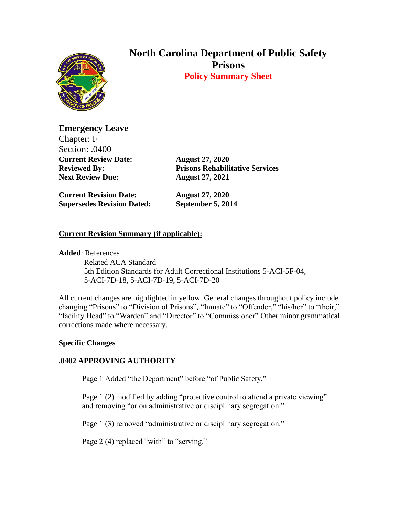

# **North Carolina Department of Public Safety Prisons Policy Summary Sheet**

**Emergency Leave** Chapter: F Section: .0400 **Current Review Date: August 27, 2020 Next Review Due: August 27, 2021**

**Reviewed By: Prisons Rehabilitative Services**

**Current Revision Date: August 27, 2020 Supersedes Revision Dated: September 5, 2014**

## **Current Revision Summary (if applicable):**

**Added**: References

 Related ACA Standard 5th Edition Standards for Adult Correctional Institutions 5-ACI-5F-04, 5-ACI-7D-18, 5-ACI-7D-19, 5-ACI-7D-20

All current changes are highlighted in yellow. General changes throughout policy include changing "Prisons" to "Division of Prisons", "Inmate" to "Offender," "his/her" to "their," "facility Head" to "Warden" and "Director" to "Commissioner" Other minor grammatical corrections made where necessary.

### **Specific Changes**

### **.0402 APPROVING AUTHORITY**

Page 1 Added "the Department" before "of Public Safety."

Page 1 (2) modified by adding "protective control to attend a private viewing" and removing "or on administrative or disciplinary segregation."

Page 1 (3) removed "administrative or disciplinary segregation."

Page 2 (4) replaced "with" to "serving."